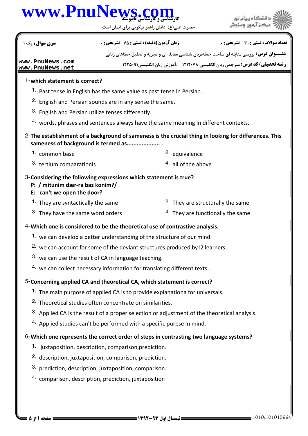حضرت علي(ع): دانش راهبر نيكويي براي ايمان است

| <b>عنـــوان درس:</b> بررسی مقابله ای ساخت جمله،زبان شناسی مقابله ای و تجزیه و تحلیل خطاهای زبانی<br>www.PnuNews.com<br><b>رشته تحصیلی/کد درس:</b> مترجمی زبان انگلیسی ۱۲۱۲۰۷۸ - ،آموزش زبان انگلیسی۱۲۲۵۰۹۱<br>www.PnuNews.net<br>1-which statement is correct?<br>1. Past tense in English has the same value as past tense in Persian.<br><sup>2.</sup> English and Persian sounds are in any sense the same. |  |  |  |  |  |  |
|----------------------------------------------------------------------------------------------------------------------------------------------------------------------------------------------------------------------------------------------------------------------------------------------------------------------------------------------------------------------------------------------------------------|--|--|--|--|--|--|
|                                                                                                                                                                                                                                                                                                                                                                                                                |  |  |  |  |  |  |
|                                                                                                                                                                                                                                                                                                                                                                                                                |  |  |  |  |  |  |
|                                                                                                                                                                                                                                                                                                                                                                                                                |  |  |  |  |  |  |
|                                                                                                                                                                                                                                                                                                                                                                                                                |  |  |  |  |  |  |
|                                                                                                                                                                                                                                                                                                                                                                                                                |  |  |  |  |  |  |
|                                                                                                                                                                                                                                                                                                                                                                                                                |  |  |  |  |  |  |
| 3. English and Persian utilize tenses differently.<br>4. words, phrases and sentences always have the same meaning in different contexts.                                                                                                                                                                                                                                                                      |  |  |  |  |  |  |
|                                                                                                                                                                                                                                                                                                                                                                                                                |  |  |  |  |  |  |
| 2- The establishment of a background of sameness is the crucial thing in looking for differences. This<br>sameness of background is termed as                                                                                                                                                                                                                                                                  |  |  |  |  |  |  |
| 2. equivalence<br>1. common base                                                                                                                                                                                                                                                                                                                                                                               |  |  |  |  |  |  |
| 3. tertium comparationis<br>$4.$ all of the above                                                                                                                                                                                                                                                                                                                                                              |  |  |  |  |  |  |
| 3-Considering the following expressions which statement is true?<br>P: / mitunim dær-ra baz konim?/                                                                                                                                                                                                                                                                                                            |  |  |  |  |  |  |
| E: can't we open the door?                                                                                                                                                                                                                                                                                                                                                                                     |  |  |  |  |  |  |
| 2. They are structurally the same<br>1. They are syntactically the same                                                                                                                                                                                                                                                                                                                                        |  |  |  |  |  |  |
| 3. They have the same word orders<br>4. They are functionally the same                                                                                                                                                                                                                                                                                                                                         |  |  |  |  |  |  |
| 4-Which one is considered to be the theoretical use of contrastive analysis.                                                                                                                                                                                                                                                                                                                                   |  |  |  |  |  |  |
| 1. we can develop a better understanding of the structure of our mind.                                                                                                                                                                                                                                                                                                                                         |  |  |  |  |  |  |
| 2. we can account for some of the deviant structures produced by I2 learners.                                                                                                                                                                                                                                                                                                                                  |  |  |  |  |  |  |
| 3. we can use the result of CA in language teaching.                                                                                                                                                                                                                                                                                                                                                           |  |  |  |  |  |  |
| 4. we can collect necessary information for translating different texts.                                                                                                                                                                                                                                                                                                                                       |  |  |  |  |  |  |
| 5-Concerning applied CA and theoretical CA, which statement is correct?                                                                                                                                                                                                                                                                                                                                        |  |  |  |  |  |  |
| 1. The main purpose of applied CA is to provide explanationa for universals.                                                                                                                                                                                                                                                                                                                                   |  |  |  |  |  |  |
| <sup>2.</sup> Theoretical studies often concentrate on similarities.                                                                                                                                                                                                                                                                                                                                           |  |  |  |  |  |  |
| 3. Applied CA is the result of a proper selection or adjustment of the theoretical analysis.                                                                                                                                                                                                                                                                                                                   |  |  |  |  |  |  |
| 4. Applied studies can't be performed with a specific purpse in mind.                                                                                                                                                                                                                                                                                                                                          |  |  |  |  |  |  |
| 6-Which one represents the correct order of steps in contrasting two language systems?                                                                                                                                                                                                                                                                                                                         |  |  |  |  |  |  |
| 1. juxtaposition, description, comparison, prediction.                                                                                                                                                                                                                                                                                                                                                         |  |  |  |  |  |  |
| <sup>2.</sup> description, juxtaposition, comparison, prediction.                                                                                                                                                                                                                                                                                                                                              |  |  |  |  |  |  |
| 3. prediction, description, juxtaposition, comparison.                                                                                                                                                                                                                                                                                                                                                         |  |  |  |  |  |  |
| 4. comparison, description, prediction, juxtaposition                                                                                                                                                                                                                                                                                                                                                          |  |  |  |  |  |  |
|                                                                                                                                                                                                                                                                                                                                                                                                                |  |  |  |  |  |  |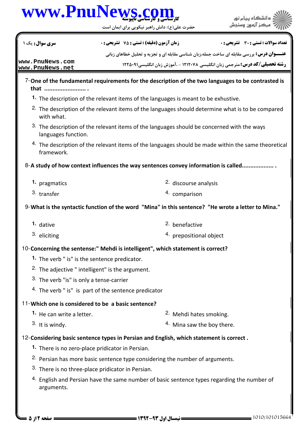حضرت علي(ع): دانش راهبر نيكويي براي ايمان است

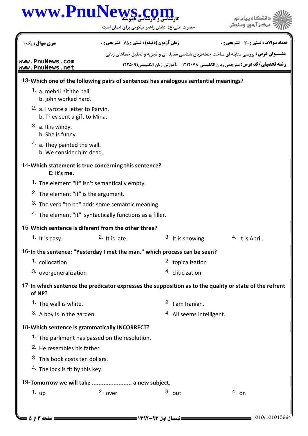حضرت علي(ع): دانش راهبر نيكويي براي ايمان است



| <b>سری سوال :</b> یک ۱                                                                                            | <b>زمان آزمون (دقیقه) : تستی : 75 ٪ تشریحی : 0</b> |                    | تعداد سوالات : تستي : 30 - تشريحي : 0                                                            |  |  |  |
|-------------------------------------------------------------------------------------------------------------------|----------------------------------------------------|--------------------|--------------------------------------------------------------------------------------------------|--|--|--|
|                                                                                                                   |                                                    |                    | <b>عنـــوان درس:</b> بررسی مقابله ای ساخت جمله،زبان شناسی مقابله ای و تجزیه و تحلیل خطاهای زبانی |  |  |  |
| www.PnuNews.com<br>www.PnuNews.net                                                                                |                                                    |                    | <b>رشته تحصیلی/کد درس:</b> مترجمی زبان انگلیسی ۱۲۱۲۰۷۸ - ،آموزش زبان انگلیسی،۱۲۲۵۰۹۱             |  |  |  |
| 13-Which one of the following pairs of sentences has analogous sentential meanings?                               |                                                    |                    |                                                                                                  |  |  |  |
| 1. a. mehdi hit the ball.<br>b. john worked hard.                                                                 |                                                    |                    |                                                                                                  |  |  |  |
| 2. a. I wrote a letter to Parvin.<br>b. They sent a gift to Mina.                                                 |                                                    |                    |                                                                                                  |  |  |  |
| 3. a. It is window.<br>b. She is funny.                                                                           |                                                    |                    |                                                                                                  |  |  |  |
| <sup>4.</sup> a. They painted the wall.<br>b. We consider him dead.                                               |                                                    |                    |                                                                                                  |  |  |  |
| 14-Which statement is true concerning this sentence?<br>E: It's me.                                               |                                                    |                    |                                                                                                  |  |  |  |
| 1. The element "it" isn't semantically empty.                                                                     |                                                    |                    |                                                                                                  |  |  |  |
| <sup>2.</sup> The element "it" is the argument.                                                                   |                                                    |                    |                                                                                                  |  |  |  |
| <sup>3.</sup> The verb "to be" adds some semantic meaning.                                                        |                                                    |                    |                                                                                                  |  |  |  |
| 4. The element "it" syntactically functions as a filler.                                                          |                                                    |                    |                                                                                                  |  |  |  |
| 15-Which sentence is diferent from the other three?                                                               |                                                    |                    |                                                                                                  |  |  |  |
| 1. It is easy.                                                                                                    | $2.$ It is late.                                   | 3. It is snowing.  | 4. It is April.                                                                                  |  |  |  |
| 16-In the sentence: "Yesterday I met the man." which process can be seen?                                         |                                                    |                    |                                                                                                  |  |  |  |
| 1. collocation                                                                                                    |                                                    | 2. topicalization  |                                                                                                  |  |  |  |
| 3. overgeneralization                                                                                             |                                                    | 4. cliticization   |                                                                                                  |  |  |  |
| 17-In which sentence the predicator expresses the supposition as to the quality or state of the refrent<br>of NP? |                                                    |                    |                                                                                                  |  |  |  |
| 1. The wall is white.                                                                                             |                                                    | $2.$ I am Iranian. |                                                                                                  |  |  |  |
| 3. A boy is in the garden.                                                                                        |                                                    |                    | 4. Ali seems intelligent.                                                                        |  |  |  |
| 18-Which sentence is grammatically INCORRECT?                                                                     |                                                    |                    |                                                                                                  |  |  |  |
| <sup>1</sup> . The parliment has passed on the resolution.                                                        |                                                    |                    |                                                                                                  |  |  |  |
| <sup>2.</sup> He resembles his father.                                                                            |                                                    |                    |                                                                                                  |  |  |  |
| <sup>3</sup> . This book costs ten dollars.                                                                       |                                                    |                    |                                                                                                  |  |  |  |
| <sup>4</sup> The lock is fit by this key.                                                                         |                                                    |                    |                                                                                                  |  |  |  |
| 19-Tomorrow we will take  a new subject.                                                                          |                                                    |                    |                                                                                                  |  |  |  |
| 1. $up$                                                                                                           | 2. over                                            | $3.$ out           | $4.$ on                                                                                          |  |  |  |
|                                                                                                                   |                                                    |                    |                                                                                                  |  |  |  |
|                                                                                                                   |                                                    |                    |                                                                                                  |  |  |  |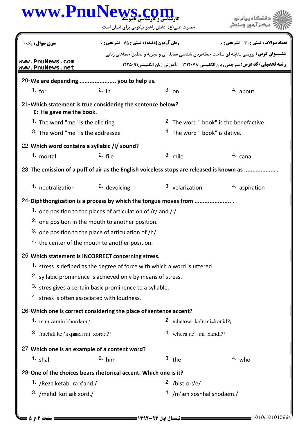| www.PnuNe                                                                                 | حضرت علی(ع): دانش راهبر نیکویی برای ایمان است                             | کا، شناسے ، و کا, شناسی <i>ا</i> | دانشگاه بیام نور                                                                                 |  |  |  |
|-------------------------------------------------------------------------------------------|---------------------------------------------------------------------------|----------------------------------|--------------------------------------------------------------------------------------------------|--|--|--|
| <b>سری سوال :</b> یک ۱                                                                    | <b>زمان آزمون (دقیقه) : تستی : 75 ٪ تشریحی : 0</b>                        |                                  | تعداد سوالات : تستي : 30 - تشريحي : 0                                                            |  |  |  |
|                                                                                           |                                                                           |                                  | <b>عنـــوان درس:</b> بررسی مقابله ای ساخت جمله،زبان شناسی مقابله ای و تجزیه و تحلیل خطاهای زبانی |  |  |  |
| www.PnuNews.com<br>www.PnuNews.net                                                        |                                                                           |                                  | <b>رشته تحصیلی/کد درس: مترجمی زبان انگلیسی ۱۲۱۲۰۷۸ - ،آموزش زبان انگلیسی،۱۲۲۵۰۹۱</b>             |  |  |  |
|                                                                                           | 20-We are depending  you to help us.                                      |                                  |                                                                                                  |  |  |  |
| 1. for                                                                                    | $2.$ in                                                                   | $3.$ on                          | 4. about                                                                                         |  |  |  |
| E: He gave me the book.                                                                   | 21-Which statement is true considering the sentence below?                |                                  |                                                                                                  |  |  |  |
| 1. The word "me" is the eliciting                                                         |                                                                           |                                  | <sup>2.</sup> The word " book" is the benefactive                                                |  |  |  |
|                                                                                           | 3. The word "me" is the addressee                                         |                                  | <sup>4</sup> . The word " book" is dative.                                                       |  |  |  |
| 22- Which word contains a syllabic /l/ sound?                                             |                                                                           |                                  |                                                                                                  |  |  |  |
| 1. mortal                                                                                 | $2.$ file                                                                 | 3. mile                          | 4. canal                                                                                         |  |  |  |
| 23- The emission of a puff of air as the English voiceless stops are released is known as |                                                                           |                                  |                                                                                                  |  |  |  |
| 1. neutralization                                                                         | <sup>2.</sup> devoicing                                                   | 3. velarization                  | 4. aspiration                                                                                    |  |  |  |
|                                                                                           | 24-Diphthongization is a process by which the tongue moves from           |                                  |                                                                                                  |  |  |  |
| 1. one position to the places of articulation of $/r/$ and $/1/$ .                        |                                                                           |                                  |                                                                                                  |  |  |  |
| <sup>2.</sup> one position in the mouth to another position.                              |                                                                           |                                  |                                                                                                  |  |  |  |
| $3.$ one position to the place of articulation of /h/.                                    |                                                                           |                                  |                                                                                                  |  |  |  |
| 4. the center of the mouth to another position.                                           |                                                                           |                                  |                                                                                                  |  |  |  |
|                                                                                           | 25-Which statement is INCORRECT concerning stress.                        |                                  |                                                                                                  |  |  |  |
|                                                                                           | 1. stress is defined as the degree of force with which a word is uttered. |                                  |                                                                                                  |  |  |  |
|                                                                                           | 2. syllabic prominence is achieved only by means of stress.               |                                  |                                                                                                  |  |  |  |
| 3. stres gives a certain basic prominence to a syllable.                                  |                                                                           |                                  |                                                                                                  |  |  |  |
| 4. stress is often associated with loudness.                                              |                                                                           |                                  |                                                                                                  |  |  |  |
|                                                                                           | 26-Which one is correct considering the place of sentence accent?         |                                  |                                                                                                  |  |  |  |
| <b>1.</b> man zamin khordam'                                                              |                                                                           | 2. /chetowr ka'r mi-konid?/      |                                                                                                  |  |  |  |
| 3. /mehdi koj'a q <b>æ</b> za mi–xorad?/                                                  |                                                                           | 4. $/$ chera ne'-mi-xandi? $/$   |                                                                                                  |  |  |  |
| 27-Which one is an example of a content word?                                             |                                                                           |                                  |                                                                                                  |  |  |  |
| $1.$ shall                                                                                | $2.$ him                                                                  | $3.$ the                         | $4.$ who                                                                                         |  |  |  |
|                                                                                           | 28-One of the choices bears rhetorical accent. Which one is it?           |                                  |                                                                                                  |  |  |  |
| 1. /Reza ketab-ra x'and./                                                                 |                                                                           | $2.$ /bist-o-s'e/                |                                                                                                  |  |  |  |
| <sup>3.</sup> /mehdi kot'æk xord./                                                        |                                                                           | 4. /m'æn xoshhal shodæm./        |                                                                                                  |  |  |  |
|                                                                                           |                                                                           |                                  |                                                                                                  |  |  |  |